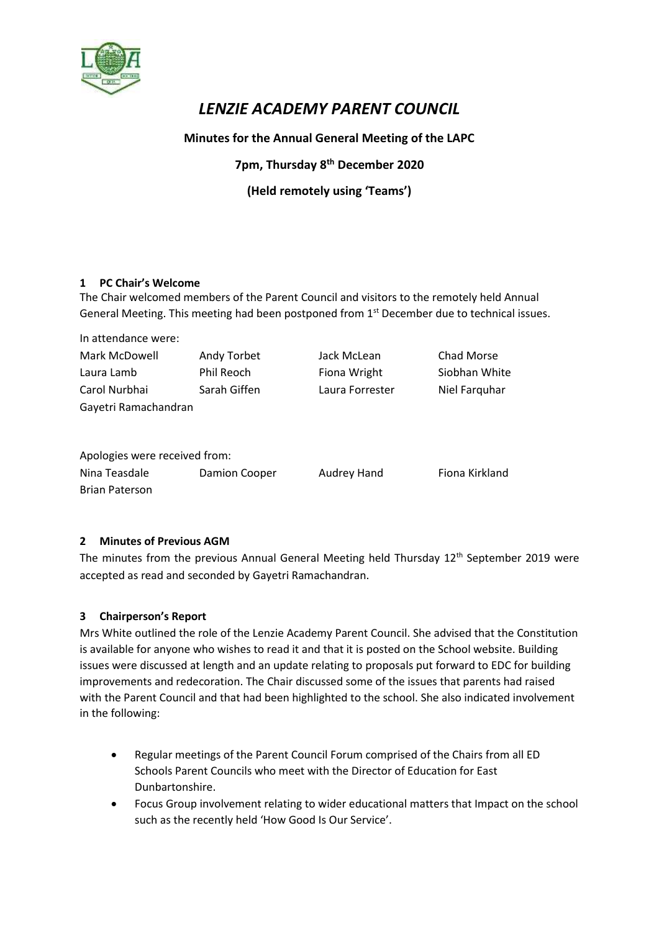

# *LENZIE ACADEMY PARENT COUNCIL*

# **Minutes for the Annual General Meeting of the LAPC**

# **7pm, Thursday 8 th December 2020**

# **(Held remotely using 'Teams')**

# **1 PC Chair's Welcome**

The Chair welcomed members of the Parent Council and visitors to the remotely held Annual General Meeting. This meeting had been postponed from 1<sup>st</sup> December due to technical issues.

| In attendance were:           |               |                 |                |
|-------------------------------|---------------|-----------------|----------------|
| Mark McDowell                 | Andy Torbet   | Jack McLean     | Chad Morse     |
| Laura Lamb                    | Phil Reoch    | Fiona Wright    | Siobhan White  |
| Carol Nurbhai                 | Sarah Giffen  | Laura Forrester | Niel Farquhar  |
| Gayetri Ramachandran          |               |                 |                |
|                               |               |                 |                |
|                               |               |                 |                |
| Apologies were received from: |               |                 |                |
| Nina Teasdale                 | Damion Cooper | Audrey Hand     | Fiona Kirkland |
| <b>Brian Paterson</b>         |               |                 |                |

# **2 Minutes of Previous AGM**

The minutes from the previous Annual General Meeting held Thursday 12<sup>th</sup> September 2019 were accepted as read and seconded by Gayetri Ramachandran.

# **3 Chairperson's Report**

Mrs White outlined the role of the Lenzie Academy Parent Council. She advised that the Constitution is available for anyone who wishes to read it and that it is posted on the School website. Building issues were discussed at length and an update relating to proposals put forward to EDC for building improvements and redecoration. The Chair discussed some of the issues that parents had raised with the Parent Council and that had been highlighted to the school. She also indicated involvement in the following:

- Regular meetings of the Parent Council Forum comprised of the Chairs from all ED Schools Parent Councils who meet with the Director of Education for East Dunbartonshire.
- Focus Group involvement relating to wider educational matters that Impact on the school such as the recently held 'How Good Is Our Service'.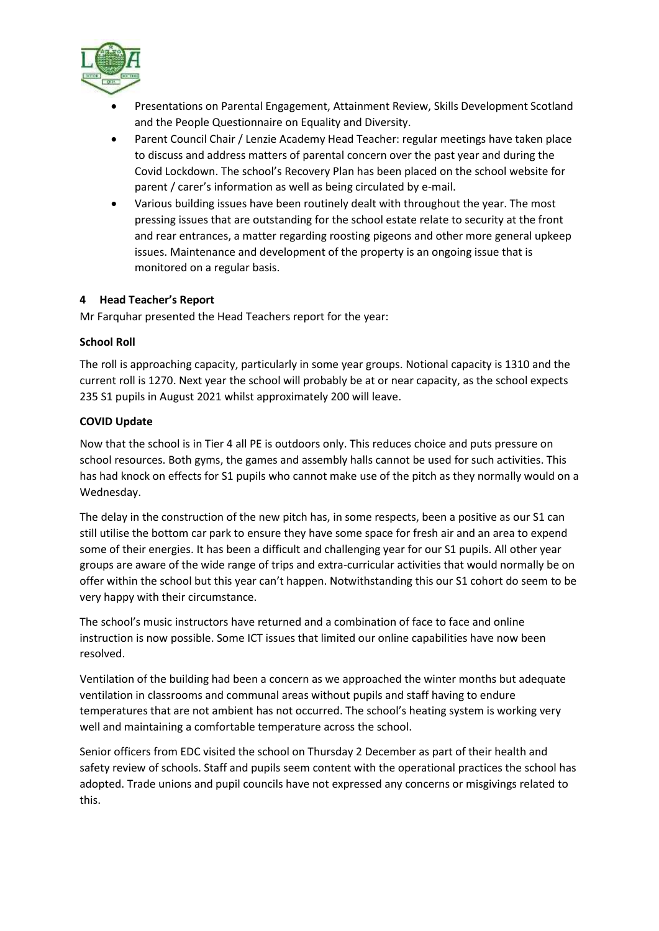

- Presentations on Parental Engagement, Attainment Review, Skills Development Scotland and the People Questionnaire on Equality and Diversity.
- Parent Council Chair / Lenzie Academy Head Teacher: regular meetings have taken place to discuss and address matters of parental concern over the past year and during the Covid Lockdown. The school's Recovery Plan has been placed on the school website for parent / carer's information as well as being circulated by e-mail.
- Various building issues have been routinely dealt with throughout the year. The most pressing issues that are outstanding for the school estate relate to security at the front and rear entrances, a matter regarding roosting pigeons and other more general upkeep issues. Maintenance and development of the property is an ongoing issue that is monitored on a regular basis.

# **4 Head Teacher's Report**

Mr Farquhar presented the Head Teachers report for the year:

# **School Roll**

The roll is approaching capacity, particularly in some year groups. Notional capacity is 1310 and the current roll is 1270. Next year the school will probably be at or near capacity, as the school expects 235 S1 pupils in August 2021 whilst approximately 200 will leave.

# **COVID Update**

Now that the school is in Tier 4 all PE is outdoors only. This reduces choice and puts pressure on school resources. Both gyms, the games and assembly halls cannot be used for such activities. This has had knock on effects for S1 pupils who cannot make use of the pitch as they normally would on a Wednesday.

The delay in the construction of the new pitch has, in some respects, been a positive as our S1 can still utilise the bottom car park to ensure they have some space for fresh air and an area to expend some of their energies. It has been a difficult and challenging year for our S1 pupils. All other year groups are aware of the wide range of trips and extra-curricular activities that would normally be on offer within the school but this year can't happen. Notwithstanding this our S1 cohort do seem to be very happy with their circumstance.

The school's music instructors have returned and a combination of face to face and online instruction is now possible. Some ICT issues that limited our online capabilities have now been resolved.

Ventilation of the building had been a concern as we approached the winter months but adequate ventilation in classrooms and communal areas without pupils and staff having to endure temperatures that are not ambient has not occurred. The school's heating system is working very well and maintaining a comfortable temperature across the school.

Senior officers from EDC visited the school on Thursday 2 December as part of their health and safety review of schools. Staff and pupils seem content with the operational practices the school has adopted. Trade unions and pupil councils have not expressed any concerns or misgivings related to this.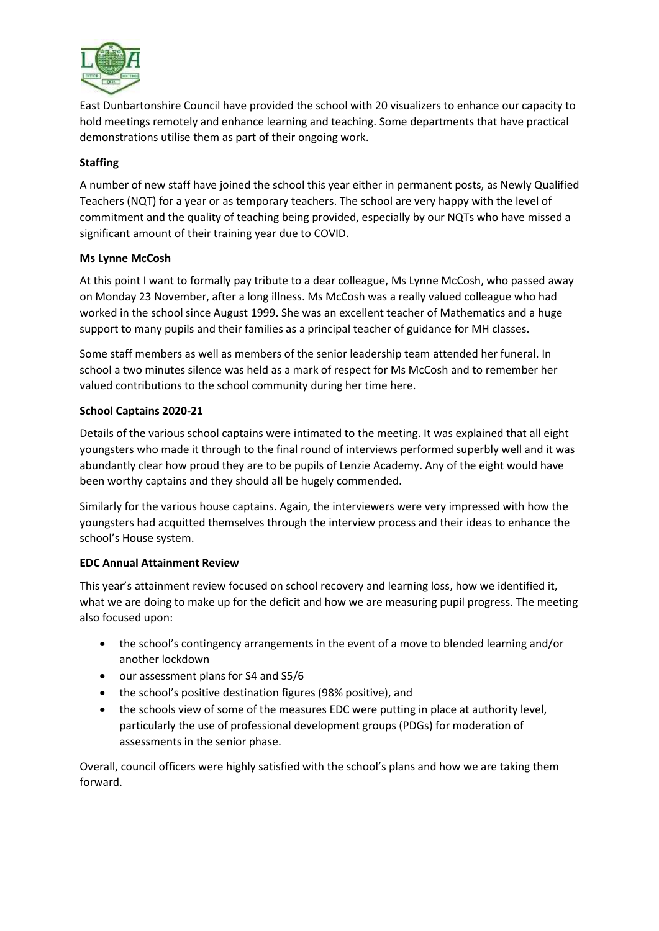

East Dunbartonshire Council have provided the school with 20 visualizers to enhance our capacity to hold meetings remotely and enhance learning and teaching. Some departments that have practical demonstrations utilise them as part of their ongoing work.

# **Staffing**

A number of new staff have joined the school this year either in permanent posts, as Newly Qualified Teachers (NQT) for a year or as temporary teachers. The school are very happy with the level of commitment and the quality of teaching being provided, especially by our NQTs who have missed a significant amount of their training year due to COVID.

# **Ms Lynne McCosh**

At this point I want to formally pay tribute to a dear colleague, Ms Lynne McCosh, who passed away on Monday 23 November, after a long illness. Ms McCosh was a really valued colleague who had worked in the school since August 1999. She was an excellent teacher of Mathematics and a huge support to many pupils and their families as a principal teacher of guidance for MH classes.

Some staff members as well as members of the senior leadership team attended her funeral. In school a two minutes silence was held as a mark of respect for Ms McCosh and to remember her valued contributions to the school community during her time here.

# **School Captains 2020-21**

Details of the various school captains were intimated to the meeting. It was explained that all eight youngsters who made it through to the final round of interviews performed superbly well and it was abundantly clear how proud they are to be pupils of Lenzie Academy. Any of the eight would have been worthy captains and they should all be hugely commended.

Similarly for the various house captains. Again, the interviewers were very impressed with how the youngsters had acquitted themselves through the interview process and their ideas to enhance the school's House system.

# **EDC Annual Attainment Review**

This year's attainment review focused on school recovery and learning loss, how we identified it, what we are doing to make up for the deficit and how we are measuring pupil progress. The meeting also focused upon:

- the school's contingency arrangements in the event of a move to blended learning and/or another lockdown
- our assessment plans for S4 and S5/6
- the school's positive destination figures (98% positive), and
- the schools view of some of the measures EDC were putting in place at authority level, particularly the use of professional development groups (PDGs) for moderation of assessments in the senior phase.

Overall, council officers were highly satisfied with the school's plans and how we are taking them forward.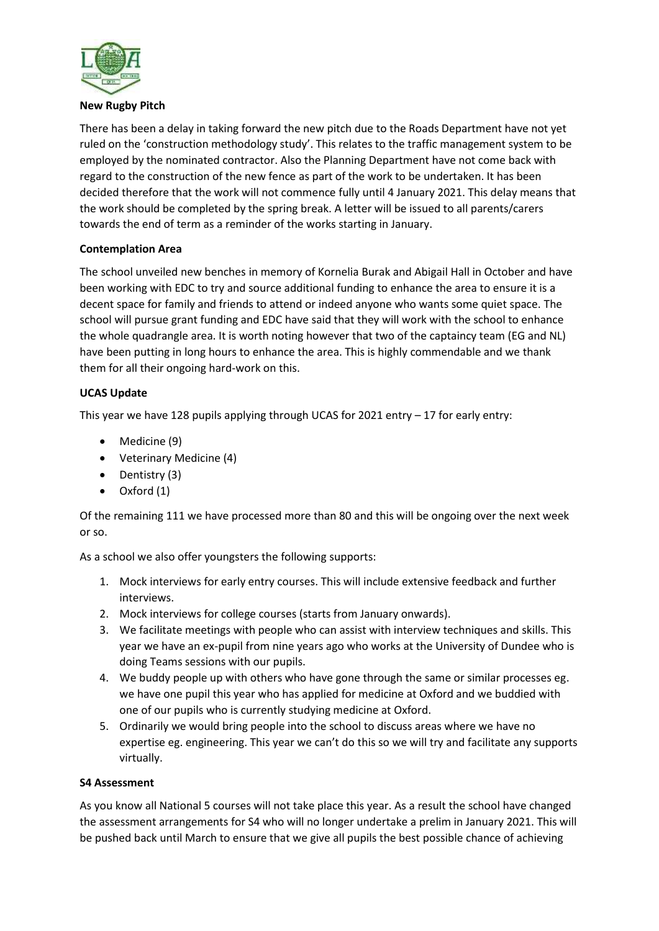

#### **New Rugby Pitch**

There has been a delay in taking forward the new pitch due to the Roads Department have not yet ruled on the 'construction methodology study'. This relates to the traffic management system to be employed by the nominated contractor. Also the Planning Department have not come back with regard to the construction of the new fence as part of the work to be undertaken. It has been decided therefore that the work will not commence fully until 4 January 2021. This delay means that the work should be completed by the spring break. A letter will be issued to all parents/carers towards the end of term as a reminder of the works starting in January.

# **Contemplation Area**

The school unveiled new benches in memory of Kornelia Burak and Abigail Hall in October and have been working with EDC to try and source additional funding to enhance the area to ensure it is a decent space for family and friends to attend or indeed anyone who wants some quiet space. The school will pursue grant funding and EDC have said that they will work with the school to enhance the whole quadrangle area. It is worth noting however that two of the captaincy team (EG and NL) have been putting in long hours to enhance the area. This is highly commendable and we thank them for all their ongoing hard-work on this.

# **UCAS Update**

This year we have 128 pupils applying through UCAS for 2021 entry – 17 for early entry:

- Medicine (9)
- Veterinary Medicine (4)
- $\bullet$  Dentistry (3)
- Oxford (1)

Of the remaining 111 we have processed more than 80 and this will be ongoing over the next week or so.

As a school we also offer youngsters the following supports:

- 1. Mock interviews for early entry courses. This will include extensive feedback and further interviews.
- 2. Mock interviews for college courses (starts from January onwards).
- 3. We facilitate meetings with people who can assist with interview techniques and skills. This year we have an ex-pupil from nine years ago who works at the University of Dundee who is doing Teams sessions with our pupils.
- 4. We buddy people up with others who have gone through the same or similar processes eg. we have one pupil this year who has applied for medicine at Oxford and we buddied with one of our pupils who is currently studying medicine at Oxford.
- 5. Ordinarily we would bring people into the school to discuss areas where we have no expertise eg. engineering. This year we can't do this so we will try and facilitate any supports virtually.

# **S4 Assessment**

As you know all National 5 courses will not take place this year. As a result the school have changed the assessment arrangements for S4 who will no longer undertake a prelim in January 2021. This will be pushed back until March to ensure that we give all pupils the best possible chance of achieving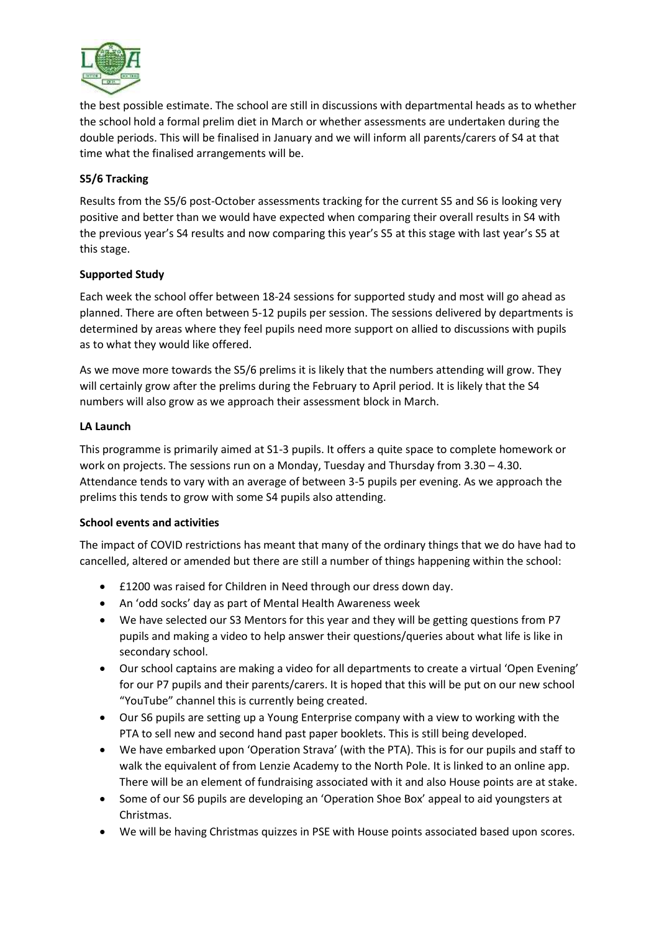

the best possible estimate. The school are still in discussions with departmental heads as to whether the school hold a formal prelim diet in March or whether assessments are undertaken during the double periods. This will be finalised in January and we will inform all parents/carers of S4 at that time what the finalised arrangements will be.

# **S5/6 Tracking**

Results from the S5/6 post-October assessments tracking for the current S5 and S6 is looking very positive and better than we would have expected when comparing their overall results in S4 with the previous year's S4 results and now comparing this year's S5 at this stage with last year's S5 at this stage.

# **Supported Study**

Each week the school offer between 18-24 sessions for supported study and most will go ahead as planned. There are often between 5-12 pupils per session. The sessions delivered by departments is determined by areas where they feel pupils need more support on allied to discussions with pupils as to what they would like offered.

As we move more towards the S5/6 prelims it is likely that the numbers attending will grow. They will certainly grow after the prelims during the February to April period. It is likely that the S4 numbers will also grow as we approach their assessment block in March.

#### **LA Launch**

This programme is primarily aimed at S1-3 pupils. It offers a quite space to complete homework or work on projects. The sessions run on a Monday, Tuesday and Thursday from 3.30 – 4.30. Attendance tends to vary with an average of between 3-5 pupils per evening. As we approach the prelims this tends to grow with some S4 pupils also attending.

# **School events and activities**

The impact of COVID restrictions has meant that many of the ordinary things that we do have had to cancelled, altered or amended but there are still a number of things happening within the school:

- £1200 was raised for Children in Need through our dress down day.
- An 'odd socks' day as part of Mental Health Awareness week
- We have selected our S3 Mentors for this year and they will be getting questions from P7 pupils and making a video to help answer their questions/queries about what life is like in secondary school.
- Our school captains are making a video for all departments to create a virtual 'Open Evening' for our P7 pupils and their parents/carers. It is hoped that this will be put on our new school "YouTube" channel this is currently being created.
- Our S6 pupils are setting up a Young Enterprise company with a view to working with the PTA to sell new and second hand past paper booklets. This is still being developed.
- We have embarked upon 'Operation Strava' (with the PTA). This is for our pupils and staff to walk the equivalent of from Lenzie Academy to the North Pole. It is linked to an online app. There will be an element of fundraising associated with it and also House points are at stake.
- Some of our S6 pupils are developing an 'Operation Shoe Box' appeal to aid youngsters at Christmas.
- We will be having Christmas quizzes in PSE with House points associated based upon scores.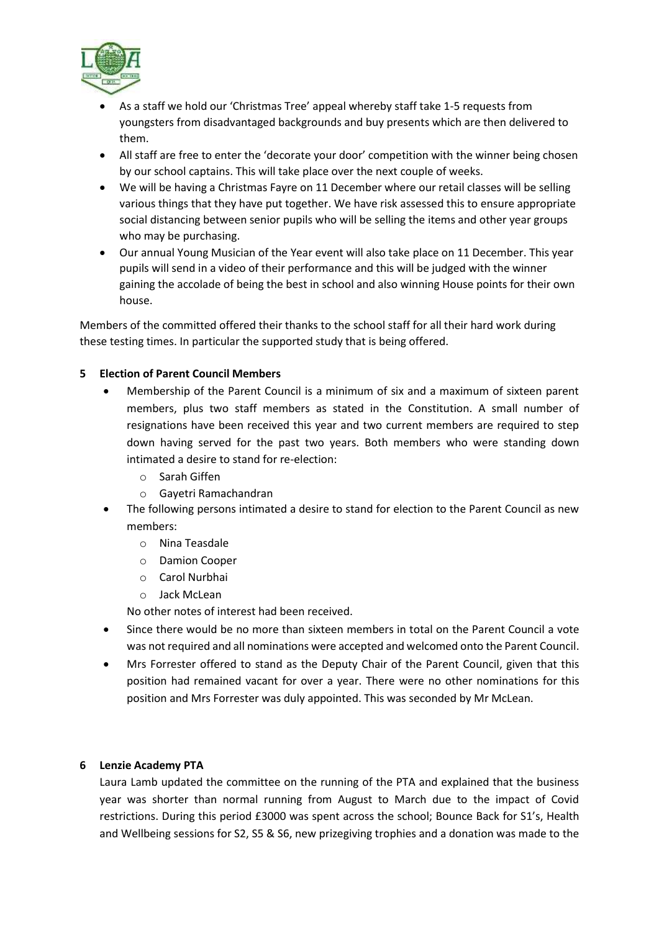

- As a staff we hold our 'Christmas Tree' appeal whereby staff take 1-5 requests from youngsters from disadvantaged backgrounds and buy presents which are then delivered to them.
- All staff are free to enter the 'decorate your door' competition with the winner being chosen by our school captains. This will take place over the next couple of weeks.
- We will be having a Christmas Fayre on 11 December where our retail classes will be selling various things that they have put together. We have risk assessed this to ensure appropriate social distancing between senior pupils who will be selling the items and other year groups who may be purchasing.
- Our annual Young Musician of the Year event will also take place on 11 December. This year pupils will send in a video of their performance and this will be judged with the winner gaining the accolade of being the best in school and also winning House points for their own house.

Members of the committed offered their thanks to the school staff for all their hard work during these testing times. In particular the supported study that is being offered.

# **5 Election of Parent Council Members**

- Membership of the Parent Council is a minimum of six and a maximum of sixteen parent members, plus two staff members as stated in the Constitution. A small number of resignations have been received this year and two current members are required to step down having served for the past two years. Both members who were standing down intimated a desire to stand for re-election:
	- o Sarah Giffen
	- o Gayetri Ramachandran
- The following persons intimated a desire to stand for election to the Parent Council as new members:
	- o Nina Teasdale
	- o Damion Cooper
	- o Carol Nurbhai
	- o Jack McLean

No other notes of interest had been received.

- Since there would be no more than sixteen members in total on the Parent Council a vote was not required and all nominations were accepted and welcomed onto the Parent Council.
- Mrs Forrester offered to stand as the Deputy Chair of the Parent Council, given that this position had remained vacant for over a year. There were no other nominations for this position and Mrs Forrester was duly appointed. This was seconded by Mr McLean.

#### **6 Lenzie Academy PTA**

Laura Lamb updated the committee on the running of the PTA and explained that the business year was shorter than normal running from August to March due to the impact of Covid restrictions. During this period £3000 was spent across the school; Bounce Back for S1's, Health and Wellbeing sessions for S2, S5 & S6, new prizegiving trophies and a donation was made to the